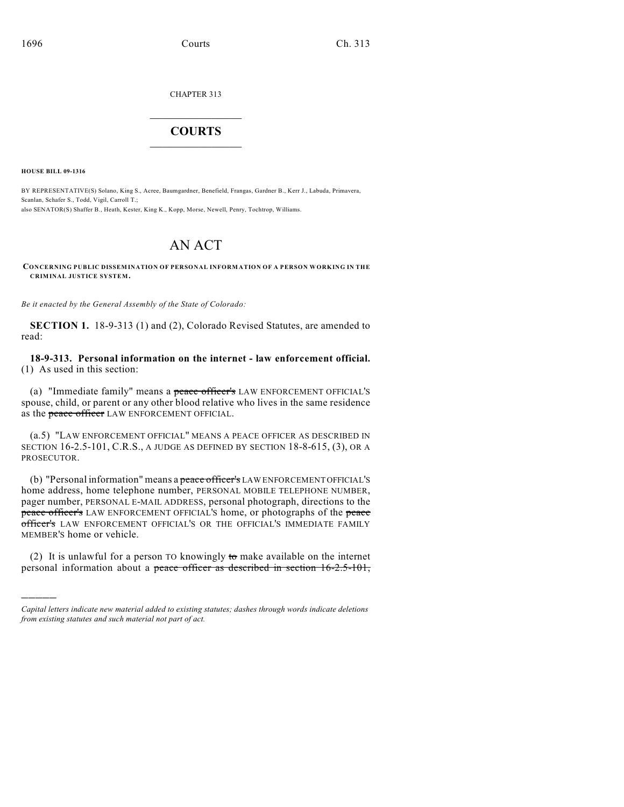CHAPTER 313

## $\overline{\phantom{a}}$  . The set of the set of the set of the set of the set of the set of the set of the set of the set of the set of the set of the set of the set of the set of the set of the set of the set of the set of the set o **COURTS**  $\_$   $\_$   $\_$   $\_$   $\_$   $\_$   $\_$   $\_$

**HOUSE BILL 09-1316**

)))))

BY REPRESENTATIVE(S) Solano, King S., Acree, Baumgardner, Benefield, Frangas, Gardner B., Kerr J., Labuda, Primavera, Scanlan, Schafer S., Todd, Vigil, Carroll T.; also SENATOR(S) Shaffer B., Heath, Kester, King K., Kopp, Morse, Newell, Penry, Tochtrop, Williams.

## AN ACT

**CONCERNING PUBLIC DISSEMINATION OF PERSONAL INFORMATION OF A PERSON WORKING IN THE CRIMINAL JUSTICE SYSTEM.**

*Be it enacted by the General Assembly of the State of Colorado:*

**SECTION 1.** 18-9-313 (1) and (2), Colorado Revised Statutes, are amended to read:

**18-9-313. Personal information on the internet - law enforcement official.** (1) As used in this section:

(a) "Immediate family" means a peace officer's LAW ENFORCEMENT OFFICIAL'S spouse, child, or parent or any other blood relative who lives in the same residence as the peace officer LAW ENFORCEMENT OFFICIAL.

(a.5) "LAW ENFORCEMENT OFFICIAL" MEANS A PEACE OFFICER AS DESCRIBED IN SECTION 16-2.5-101, C.R.S., A JUDGE AS DEFINED BY SECTION 18-8-615, (3), OR A PROSECUTOR.

(b) "Personal information" means a peace officer's LAW ENFORCEMENT OFFICIAL'S home address, home telephone number, PERSONAL MOBILE TELEPHONE NUMBER, pager number, PERSONAL E-MAIL ADDRESS, personal photograph, directions to the peace officer's LAW ENFORCEMENT OFFICIAL'S home, or photographs of the peace officer's LAW ENFORCEMENT OFFICIAL'S OR THE OFFICIAL'S IMMEDIATE FAMILY MEMBER'S home or vehicle.

(2) It is unlawful for a person TO knowingly to make available on the internet personal information about a peace officer as described in section 16-2.5-101,

*Capital letters indicate new material added to existing statutes; dashes through words indicate deletions from existing statutes and such material not part of act.*